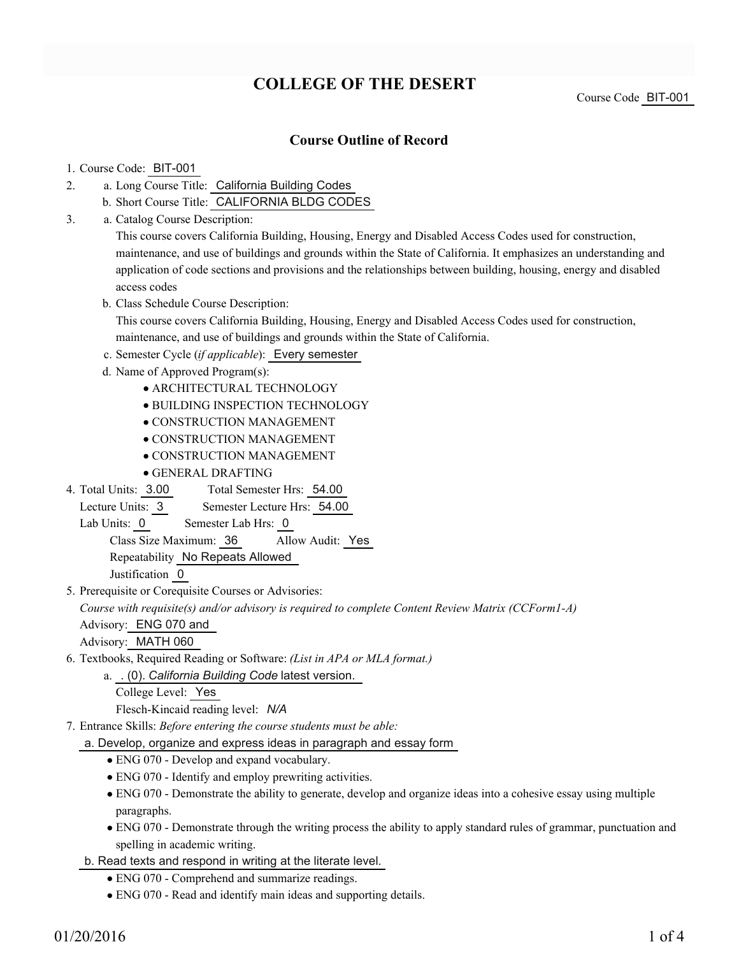# **COLLEGE OF THE DESERT**

Course Code BIT-001

### **Course Outline of Record**

#### 1. Course Code: BIT-001

- a. Long Course Title: California Building Codes 2.
	- b. Short Course Title: CALIFORNIA BLDG CODES
- Catalog Course Description: a. 3.

This course covers California Building, Housing, Energy and Disabled Access Codes used for construction, maintenance, and use of buildings and grounds within the State of California. It emphasizes an understanding and application of code sections and provisions and the relationships between building, housing, energy and disabled access codes

b. Class Schedule Course Description:

This course covers California Building, Housing, Energy and Disabled Access Codes used for construction, maintenance, and use of buildings and grounds within the State of California.

- c. Semester Cycle (*if applicable*): Every semester
- d. Name of Approved Program(s):
	- ARCHITECTURAL TECHNOLOGY
	- BUILDING INSPECTION TECHNOLOGY
	- CONSTRUCTION MANAGEMENT
	- CONSTRUCTION MANAGEMENT
	- CONSTRUCTION MANAGEMENT
	- GENERAL DRAFTING
- Total Semester Hrs: 54.00 4. Total Units: 3.00

Lecture Units: 3 Semester Lecture Hrs: 54.00

Lab Units: 0 Semester Lab Hrs: 0

Class Size Maximum: 36 Allow Audit: Yes

Repeatability No Repeats Allowed

Justification 0

5. Prerequisite or Corequisite Courses or Advisories:

*Course with requisite(s) and/or advisory is required to complete Content Review Matrix (CCForm1-A)*

Advisory: ENG 070 and

Advisory: MATH 060

Textbooks, Required Reading or Software: *(List in APA or MLA format.)* 6.

. (0). *California Building Code* latest version. a.

- College Level: Yes Flesch-Kincaid reading level: *N/A*
- Entrance Skills: *Before entering the course students must be able:* 7.
	- a. Develop, organize and express ideas in paragraph and essay form
		- ENG 070 Develop and expand vocabulary.
		- ENG 070 Identify and employ prewriting activities.
		- ENG 070 Demonstrate the ability to generate, develop and organize ideas into a cohesive essay using multiple paragraphs.
		- ENG 070 Demonstrate through the writing process the ability to apply standard rules of grammar, punctuation and spelling in academic writing.
	- b. Read texts and respond in writing at the literate level.
		- ENG 070 Comprehend and summarize readings.
		- ENG 070 Read and identify main ideas and supporting details.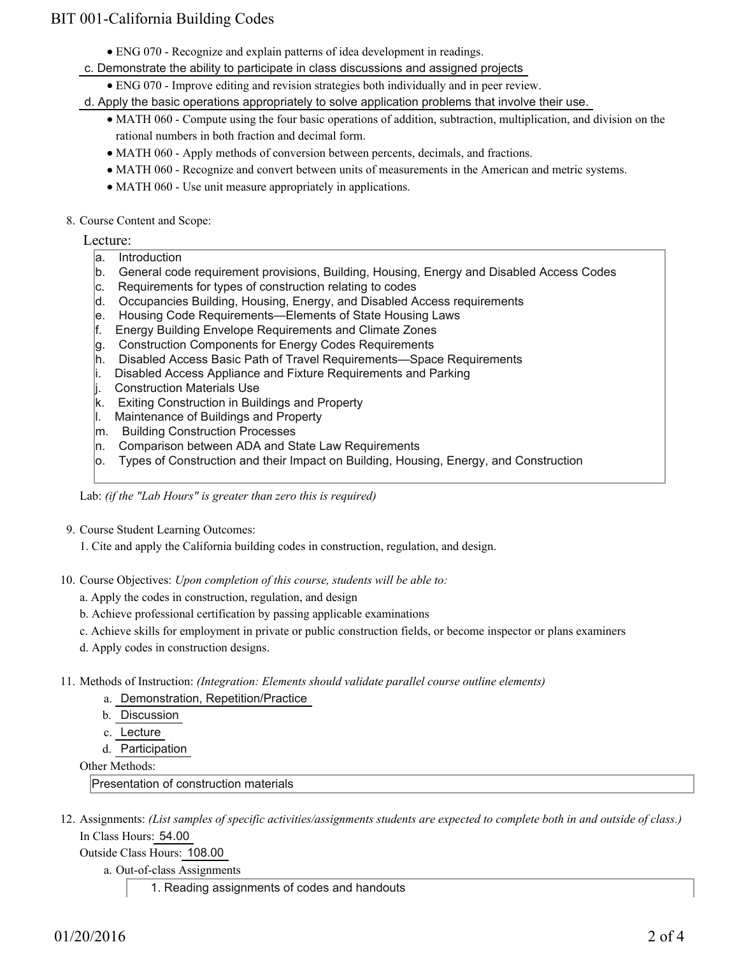## BIT 001-California Building Codes

- ENG 070 Recognize and explain patterns of idea development in readings.
- c. Demonstrate the ability to participate in class discussions and assigned projects
	- ENG 070 Improve editing and revision strategies both individually and in peer review.

d. Apply the basic operations appropriately to solve application problems that involve their use.

- MATH 060 Compute using the four basic operations of addition, subtraction, multiplication, and division on the rational numbers in both fraction and decimal form.
- MATH 060 Apply methods of conversion between percents, decimals, and fractions.
- MATH 060 Recognize and convert between units of measurements in the American and metric systems.
- MATH 060 Use unit measure appropriately in applications.
- 8. Course Content and Scope:

#### Lecture:

- a. Introduction
- b. General code requirement provisions, Building, Housing, Energy and Disabled Access Codes
- c. Requirements for types of construction relating to codes
- d. Occupancies Building, Housing, Energy, and Disabled Access requirements
- e. Housing Code Requirements—Elements of State Housing Laws
- f. Energy Building Envelope Requirements and Climate Zones
- g. Construction Components for Energy Codes Requirements
- h. Disabled Access Basic Path of Travel Requirements—Space Requirements
- i. Disabled Access Appliance and Fixture Requirements and Parking
- j. Construction Materials Use
- k. Exiting Construction in Buildings and Property
- l. Maintenance of Buildings and Property
- m. Building Construction Processes
- n. Comparison between ADA and State Law Requirements
- o. Types of Construction and their Impact on Building, Housing, Energy, and Construction

Lab: *(if the "Lab Hours" is greater than zero this is required)*

- 9. Course Student Learning Outcomes:
	- 1. Cite and apply the California building codes in construction, regulation, and design.
- 10. Course Objectives: Upon completion of this course, students will be able to:
	- a. Apply the codes in construction, regulation, and design
	- b. Achieve professional certification by passing applicable examinations
	- c. Achieve skills for employment in private or public construction fields, or become inspector or plans examiners
	- d. Apply codes in construction designs.
- 11. Methods of Instruction: *(Integration: Elements should validate parallel course outline elements)* 
	- a. Demonstration, Repetition/Practice
	- b. Discussion
	- c. Lecture
	- d. Participation

Other Methods:

Presentation of construction materials

12. Assignments: (List samples of specific activities/assignments students are expected to complete both in and outside of class.) In Class Hours: 54.00

Outside Class Hours: 108.00

- a. Out-of-class Assignments
	- 1. Reading assignments of codes and handouts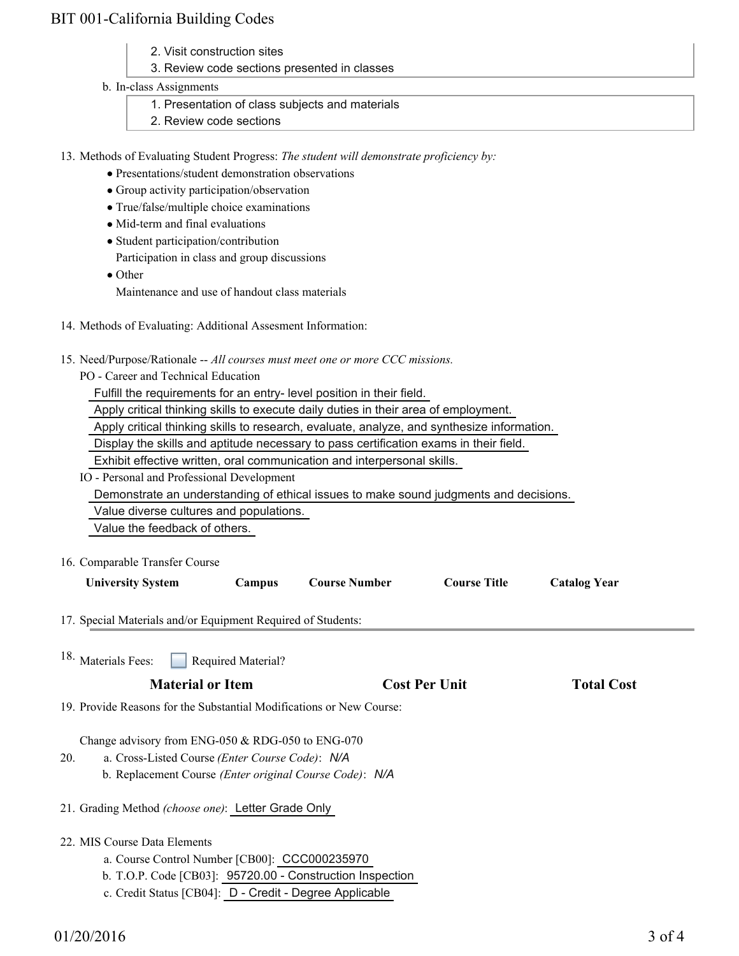### BIT 001-California Building Codes

- 2. Visit construction sites
- 3. Review code sections presented in classes

#### b. In-class Assignments

- 1. Presentation of class subjects and materials
- 2. Review code sections
- 13. Methods of Evaluating Student Progress: The student will demonstrate proficiency by:
	- Presentations/student demonstration observations
	- Group activity participation/observation
	- True/false/multiple choice examinations
	- Mid-term and final evaluations
	- Student participation/contribution
	- Participation in class and group discussions
	- Other
		- Maintenance and use of handout class materials
- 14. Methods of Evaluating: Additional Assesment Information:
- 15. Need/Purpose/Rationale -- All courses must meet one or more CCC missions.
	- PO Career and Technical Education

Fulfill the requirements for an entry- level position in their field.

Apply critical thinking skills to execute daily duties in their area of employment.

Apply critical thinking skills to research, evaluate, analyze, and synthesize information.

Display the skills and aptitude necessary to pass certification exams in their field.

Exhibit effective written, oral communication and interpersonal skills.

IO - Personal and Professional Development

Demonstrate an understanding of ethical issues to make sound judgments and decisions.

Value diverse cultures and populations.

Value the feedback of others.

16. Comparable Transfer Course

| <b>University System</b>                                     | Campus | <b>Course Number</b> | <b>Course Title</b> | <b>Catalog Year</b> |
|--------------------------------------------------------------|--------|----------------------|---------------------|---------------------|
| 17. Special Materials and/or Equipment Required of Students: |        |                      |                     |                     |

18.  $<sub>N</sub>$ </sub>

| <b>Material or Item</b>                                              | <b>Cost Per Unit</b> | <b>Total Cost</b> |
|----------------------------------------------------------------------|----------------------|-------------------|
| 19. Provide Reasons for the Substantial Modifications or New Course: |                      |                   |

Change advisory from ENG-050 & RDG-050 to ENG-070

- a. Cross-Listed Course *(Enter Course Code)*: *N/A* 20.
	- b. Replacement Course *(Enter original Course Code)*: *N/A*
- 21. Grading Method *(choose one)*: Letter Grade Only
- 22. MIS Course Data Elements
	- a. Course Control Number [CB00]: CCC000235970
	- b. T.O.P. Code [CB03]: 95720.00 Construction Inspection
	- c. Credit Status [CB04]: D Credit Degree Applicable